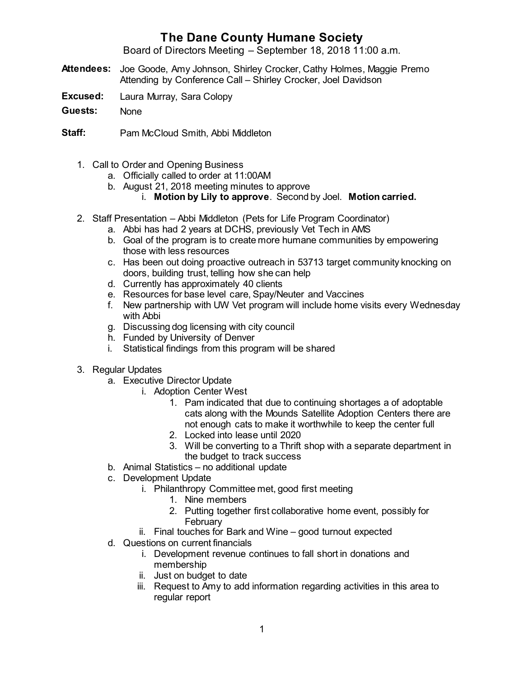## **The Dane County Humane Society**

Board of Directors Meeting – September 18, 2018 11:00 a.m.

- **Attendees:** Joe Goode, Amy Johnson, Shirley Crocker, Cathy Holmes, Maggie Premo Attending by Conference Call – Shirley Crocker, Joel Davidson
- **Excused:** Laura Murray, Sara Colopy
- **Guests:** None
- **Staff:** Pam McCloud Smith, Abbi Middleton
	- 1. Call to Order and Opening Business
		- a. Officially called to order at 11:00AM
		- b. August 21, 2018 meeting minutes to approve
			- i. **Motion by Lily to approve**. Second by Joel. **Motion carried.**
	- 2. Staff Presentation Abbi Middleton (Pets for Life Program Coordinator)
		- a. Abbi has had 2 years at DCHS, previously Vet Tech in AMS
		- b. Goal of the program is to create more humane communities by empowering those with less resources
		- c. Has been out doing proactive outreach in 53713 target community knocking on doors, building trust, telling how she can help
		- d. Currently has approximately 40 clients
		- e. Resources for base level care, Spay/Neuter and Vaccines
		- f. New partnership with UW Vet program will include home visits every Wednesday with Abbi
		- g. Discussing dog licensing with city council
		- h. Funded by University of Denver
		- i. Statistical findings from this program will be shared
	- 3. Regular Updates
		- a. Executive Director Update
			- i. Adoption Center West
				- 1. Pam indicated that due to continuing shortages a of adoptable cats along with the Mounds Satellite Adoption Centers there are not enough cats to make it worthwhile to keep the center full
				- 2. Locked into lease until 2020
				- 3. Will be converting to a Thrift shop with a separate department in the budget to track success
		- b. Animal Statistics no additional update
		- c. Development Update
			- i. Philanthropy Committee met, good first meeting
				- 1. Nine members
				- 2. Putting together first collaborative home event, possibly for **February**
			- ii. Final touches for Bark and Wine good turnout expected
		- d. Questions on current financials
			- i. Development revenue continues to fall short in donations and membership
			- ii. Just on budget to date
			- iii. Request to Amy to add information regarding activities in this area to regular report